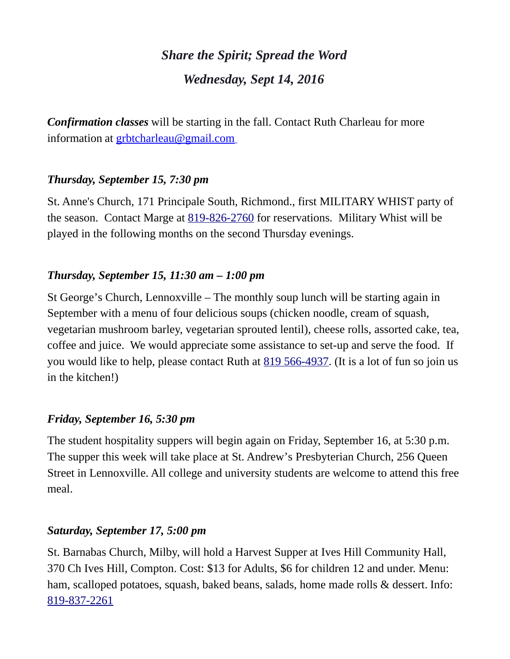# *Share the Spirit; Spread the Word Wednesday, Sept 14, 2016*

*Confirmation classes* will be starting in the fall. Contact Ruth Charleau for more information at [grbtcharleau@gmail.com](https://webmail.ubishops.ca/owa/redir.aspx?REF=_Dp6HQx5OBWVz_108fNrDcRnXRzkSidHqQfRq0musfqAMQEMD8XTCAFtYWlsdG86Z3JidGNoYXJsZWF1QGdtYWlsLmNvbQ..)

# *Thursday, September 15, 7:30 pm*

St. Anne's Church, 171 Principale South, Richmond., first MILITARY WHIST party of the season. Contact Marge at [819-826-2760](tel:819-826-2760) for reservations. Military Whist will be played in the following months on the second Thursday evenings.

# *Thursday, September 15, 11:30 am – 1:00 pm*

St George's Church, Lennoxville – The monthly soup lunch will be starting again in September with a menu of four delicious soups (chicken noodle, cream of squash, vegetarian mushroom barley, vegetarian sprouted lentil), cheese rolls, assorted cake, tea, coffee and juice. We would appreciate some assistance to set-up and serve the food. If you would like to help, please contact Ruth at [819 566-4937.](tel:819%20566-4937) (It is a lot of fun so join us in the kitchen!)

# *Friday, September 16, 5:30 pm*

The student hospitality suppers will begin again on Friday, September 16, at 5:30 p.m. The supper this week will take place at St. Andrew's Presbyterian Church, 256 Queen Street in Lennoxville. All college and university students are welcome to attend this free meal.

# *Saturday, September 17, 5:00 pm*

St. Barnabas Church, Milby, will hold a Harvest Supper at Ives Hill Community Hall, 370 Ch Ives Hill, Compton. Cost: \$13 for Adults, \$6 for children 12 and under. Menu: ham, scalloped potatoes, squash, baked beans, salads, home made rolls & dessert. Info: [819-837-2261](tel:819-837-2261)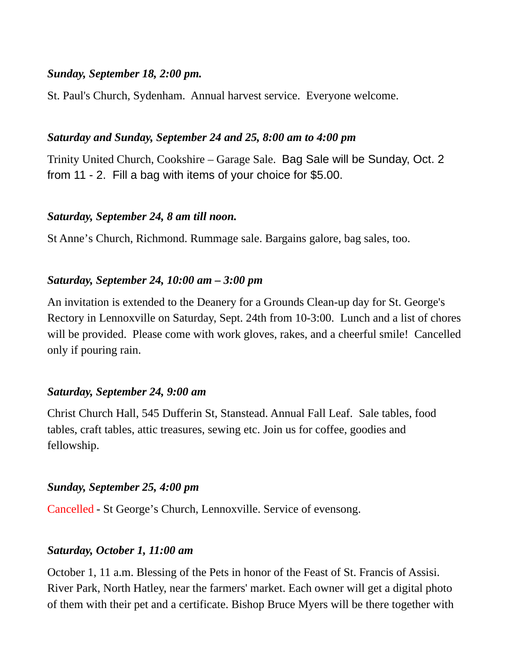#### *Sunday, September 18, 2:00 pm.*

St. Paul's Church, Sydenham. Annual harvest service. Everyone welcome.

#### *Saturday and Sunday, September 24 and 25, 8:00 am to 4:00 pm*

Trinity United Church, Cookshire – Garage Sale. Bag Sale will be Sunday, Oct. 2 from 11 - 2. Fill a bag with items of your choice for \$5.00.

#### *Saturday, September 24, 8 am till noon.*

St Anne's Church, Richmond. Rummage sale. Bargains galore, bag sales, too.

#### *Saturday, September 24, 10:00 am – 3:00 pm*

An invitation is extended to the Deanery for a Grounds Clean-up day for St. George's Rectory in Lennoxville on Saturday, Sept. 24th from 10-3:00. Lunch and a list of chores will be provided. Please come with work gloves, rakes, and a cheerful smile! Cancelled only if pouring rain.

#### *Saturday, September 24, 9:00 am*

Christ Church Hall, 545 Dufferin St, Stanstead. Annual Fall Leaf. Sale tables, food tables, craft tables, attic treasures, sewing etc. Join us for coffee, goodies and fellowship.

#### *Sunday, September 25, 4:00 pm*

Cancelled - St George's Church, Lennoxville. Service of evensong.

#### *Saturday, October 1, 11:00 am*

October 1, 11 a.m. Blessing of the Pets in honor of the Feast of St. Francis of Assisi. River Park, North Hatley, near the farmers' market. Each owner will get a digital photo of them with their pet and a certificate. Bishop Bruce Myers will be there together with